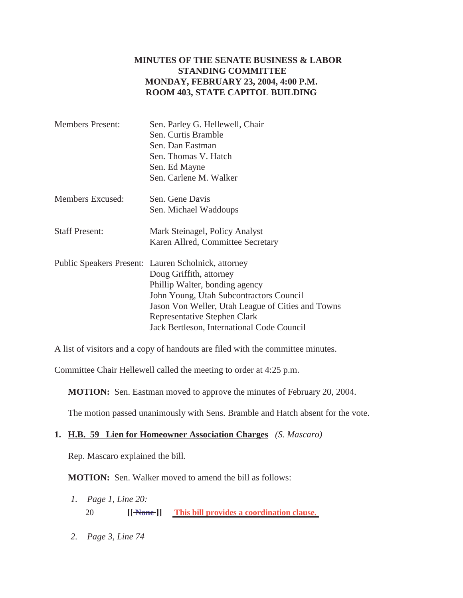## **MINUTES OF THE SENATE BUSINESS & LABOR STANDING COMMITTEE MONDAY, FEBRUARY 23, 2004, 4:00 P.M. ROOM 403, STATE CAPITOL BUILDING**

| <b>Members Present:</b> | Sen. Parley G. Hellewell, Chair                     |
|-------------------------|-----------------------------------------------------|
|                         | Sen. Curtis Bramble                                 |
|                         | Sen. Dan Eastman                                    |
|                         | Sen. Thomas V. Hatch                                |
|                         | Sen. Ed Mayne                                       |
|                         | Sen. Carlene M. Walker                              |
| Members Excused:        | Sen. Gene Davis                                     |
|                         | Sen. Michael Waddoups                               |
| <b>Staff Present:</b>   | Mark Steinagel, Policy Analyst                      |
|                         | Karen Allred, Committee Secretary                   |
|                         | Public Speakers Present: Lauren Scholnick, attorney |
|                         | Doug Griffith, attorney                             |
|                         | Phillip Walter, bonding agency                      |
|                         | John Young, Utah Subcontractors Council             |
|                         | Jason Von Weller, Utah League of Cities and Towns   |
|                         | Representative Stephen Clark                        |
|                         | Jack Bertleson, International Code Council          |
|                         |                                                     |

A list of visitors and a copy of handouts are filed with the committee minutes.

Committee Chair Hellewell called the meeting to order at 4:25 p.m.

**MOTION:** Sen. Eastman moved to approve the minutes of February 20, 2004.

The motion passed unanimously with Sens. Bramble and Hatch absent for the vote.

#### **1. H.B. 59 Lien for Homeowner Association Charges** *(S. Mascaro)*

Rep. Mascaro explained the bill.

**MOTION:** Sen. Walker moved to amend the bill as follows:

- *1. Page 1, Line 20:* 20 **[[ None ]] This bill provides a coordination clause.**
- *2. Page 3, Line 74*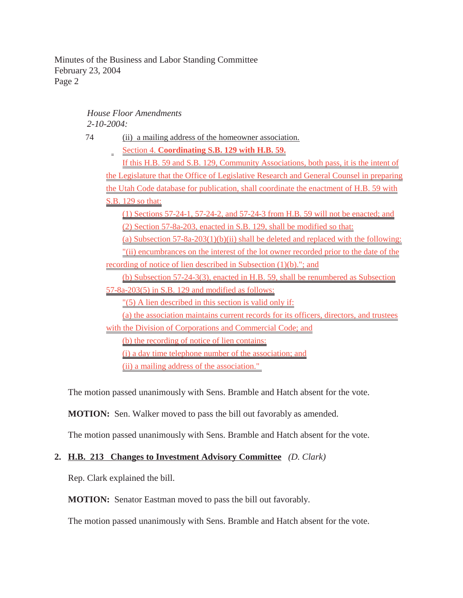## *House Floor Amendments 2-10-2004:*

74 (ii) a mailing address of the homeowner association. Section 4. **Coordinating S.B. 129 with H.B. 59.** If this H.B. 59 and S.B. 129, Community Associations, both pass, it is the intent of the Legislature that the Office of Legislative Research and General Counsel in preparing the Utah Code database for publication, shall coordinate the enactment of H.B. 59 with S.B. 129 so that: (1) Sections 57-24-1, 57-24-2, and 57-24-3 from H.B. 59 will not be enacted; and (2) Section 57-8a-203, enacted in S.B. 129, shall be modified so that: (a) Subsection 57-8a-203(1)(b)(ii) shall be deleted and replaced with the following: "(ii) encumbrances on the interest of the lot owner recorded prior to the date of the recording of notice of lien described in Subsection (1)(b)."; and (b) Subsection 57-24-3(3), enacted in H.B. 59, shall be renumbered as Subsection 57-8a-203(5) in S.B. 129 and modified as follows: "(5) A lien described in this section is valid only if: (a) the association maintains current records for its officers, directors, and trustees with the Division of Corporations and Commercial Code; and (b) the recording of notice of lien contains: (i) a day time telephone number of the association; and (ii) a mailing address of the association."

The motion passed unanimously with Sens. Bramble and Hatch absent for the vote.

**MOTION:** Sen. Walker moved to pass the bill out favorably as amended.

The motion passed unanimously with Sens. Bramble and Hatch absent for the vote.

# **2. H.B. 213 Changes to Investment Advisory Committee** *(D. Clark)*

Rep. Clark explained the bill.

**MOTION:** Senator Eastman moved to pass the bill out favorably.

The motion passed unanimously with Sens. Bramble and Hatch absent for the vote.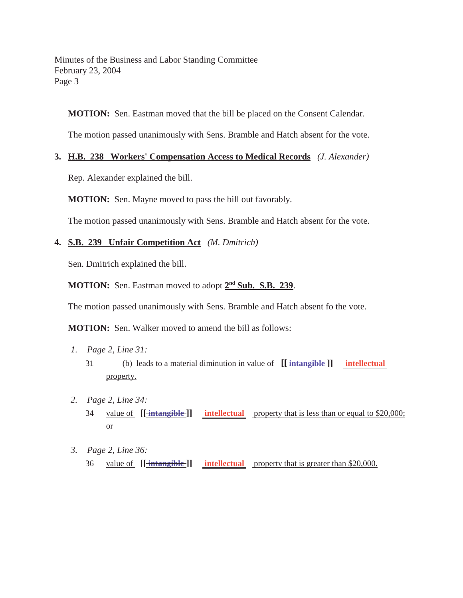**MOTION:** Sen. Eastman moved that the bill be placed on the Consent Calendar.

The motion passed unanimously with Sens. Bramble and Hatch absent for the vote.

### **3. H.B. 238 Workers' Compensation Access to Medical Records** *(J. Alexander)*

Rep. Alexander explained the bill.

**MOTION:** Sen. Mayne moved to pass the bill out favorably.

The motion passed unanimously with Sens. Bramble and Hatch absent for the vote.

## **4. S.B. 239 Unfair Competition Act** *(M. Dmitrich)*

Sen. Dmitrich explained the bill.

**MOTION:** Sen. Eastman moved to adopt **2nd Sub. S.B. 239**.

The motion passed unanimously with Sens. Bramble and Hatch absent fo the vote.

**MOTION:** Sen. Walker moved to amend the bill as follows:

- *1. Page 2, Line 31:* 31 (b) leads to a material diminution in value of **[[ intangible ]] intellectual**  property.
- *2. Page 2, Line 34:* 34 value of **[[ intangible ]] intellectual** property that is less than or equal to \$20,000; or
- *3. Page 2, Line 36:* 36 value of [[intangible ]] intellectual property that is greater than \$20,000.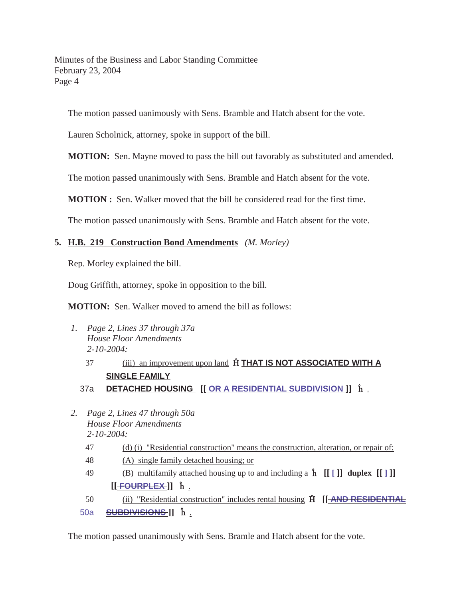The motion passed uanimously with Sens. Bramble and Hatch absent for the vote.

Lauren Scholnick, attorney, spoke in support of the bill.

**MOTION:** Sen. Mayne moved to pass the bill out favorably as substituted and amended.

The motion passed unanimously with Sens. Bramble and Hatch absent for the vote.

**MOTION :** Sen. Walker moved that the bill be considered read for the first time.

The motion passed unanimously with Sens. Bramble and Hatch absent for the vote.

## **5. H.B. 219 Construction Bond Amendments** *(M. Morley)*

Rep. Morley explained the bill.

Doug Griffith, attorney, spoke in opposition to the bill.

**MOTION:** Sen. Walker moved to amend the bill as follows:

- *1. Page 2, Lines 37 through 37a House Floor Amendments 2-10-2004:*
	- 37 (iii) an improvement upon land **THAT IS NOT ASSOCIATED WITH A SINGLE FAMILY**
	- 37a **DETACHED HOUSING** [[<del>OR A RESIDENTIAL SUBDIVISION</del>]]  $\hat{\mathbf{h}}$  <u>.</u>
- *2. Page 2, Lines 47 through 50a House Floor Amendments 2-10-2004:*
	- 47 (d) (i) "Residential construction" means the construction, alteration, or repair of:
	- 48 (A) single family detached housing; or
	- 49 (B) multifamily attached housing up to and including  $\hat{a}$  **h** [[+]] **duplex** [[+]]  $[$   $[$   $\uparrow$   $\uparrow$   $\uparrow$   $\uparrow$   $\uparrow$   $\uparrow$   $\uparrow$   $\uparrow$   $\uparrow$   $\downarrow$   $\uparrow$   $\downarrow$   $\downarrow$   $\downarrow$   $\downarrow$   $\downarrow$   $\downarrow$   $\downarrow$   $\downarrow$   $\downarrow$   $\downarrow$   $\downarrow$   $\downarrow$   $\downarrow$   $\downarrow$   $\downarrow$   $\downarrow$   $\downarrow$   $\downarrow$   $\downarrow$   $\downarrow$   $\downarrow$   $\downarrow$   $\downarrow$   $\downarrow$   $\down$

50 (ii) "Residential construction" includes rental housing **[[ AND RESIDENTIAL** 50a **SUBDIVISIONS ]**  $\hat{\mathbf{h}}$  .

The motion passed unanimously with Sens. Bramle and Hatch absent for the vote.